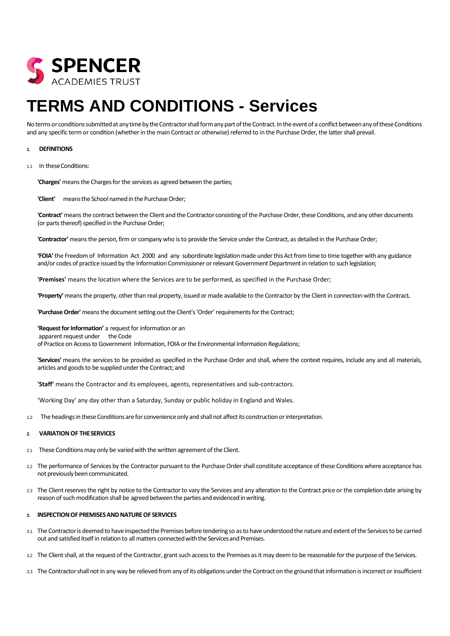

# **TERMS AND CONDITIONS - Services**

No terms or conditions submitted at any time by the Contractor shall form any part of the Contract. In the event of a conflict between any of these Conditions and any specific term or condition (whether in the main Contract or otherwise) referred to in the Purchase Order, the latter shall prevail.

## **1. DEFINITIONS**

1.1 In theseConditions:

**'Charges'** means the Charges for the services as agreed between the parties;

'Client' means the School named in the Purchase Order;

**'Contract'** means the contract between the Client and the Contractor consisting of the Purchase Order, these Conditions, and any other documents (or parts thereof) specified in the Purchase Order;

**'Contractor'** means the person, firm or company who is to provide the Service under the Contract, as detailed in the Purchase Order;

'FOIA' the Freedom of Information Act 2000 and any subordinate legislation made under this Act from time to time together with any guidance and/or codes of practice issued by the Information Commissioner or relevant Government Department in relation to such legislation;

**'Premises'** means the location where the Services are to be performed, as specified in the Purchase Order;

**'Property'** means the property, other than real property, issued or made available to the Contractor by the Client in connection with the Contract**.**

'Purchase Order' means the document setting out the Client's 'Order' requirements for the Contract;

**'Requestfor Information'** a request for information or an apparent request under the Code of Practice on Access to Government Information, FOIA or the Environmental Information Regulations;

**'Services'** means the services to be provided as specified in the Purchase Order and shall, where the context requires, include any and all materials, articles and goods to be supplied under the Contract; and

**'Staff'** means the Contractor and its employees, agents, representatives and sub-contractors.

'Working Day' any day other than a Saturday, Sunday or public holiday in England and Wales.

1.2 The headings in these Conditions are for convenience only and shall not affect its construction or interpretation.

## **2. VARIATION OF THESERVICES**

- 2.1 These Conditions may only be varied with the written agreement of the Client.
- 2.2 The performance of Services by the Contractor pursuant to the Purchase Order shall constitute acceptance of these Conditions where acceptance has not previously been communicated.
- 2.3 The Client reserves the right by notice to the Contractor to vary the Services and any alteration to the Contract price or the completion date arising by reason of such modification shall be agreed between the parties and evidenced in writing.

#### **3. INSPECTIONOF PREMISESANDNATUREOF SERVICES**

- 3.1 The Contractor is deemed to have inspected the Premises before tendering so as to have understood the nature and extent of the Services to be carried out and satisfied itself in relation to all matters connected with the Services and Premises.
- 3.2 The Client shall, at the request of the Contractor, grant such access to the Premises as it may deem to be reasonable for the purpose of the Services.
- 3.3 The Contractor shall not in any way be relieved from any of its obligations under the Contract on the ground that information is incorrect or insufficient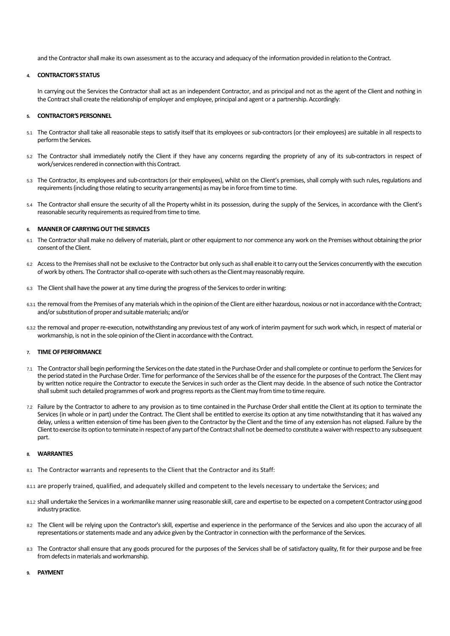and the Contractor shall make its own assessment as to the accuracy and adequacy of the information provided in relation to the Contract.

#### **4. CONTRACTOR'S STATUS**

In carrying out the Services the Contractor shall act as an independent Contractor, and as principal and not as the agent of the Client and nothing in the Contract shall create the relationship of employer and employee, principal and agent or a partnership. Accordingly:

## **5. CONTRACTOR'SPERSONNEL**

- 5.1 The Contractor shall take all reasonable steps to satisfy itself that its employees or sub-contractors (or their employees) are suitable in all respectsto performthe Services.
- 5.2 The Contractor shall immediately notify the Client if they have any concerns regarding the propriety of any of its sub-contractors in respect of work/services rendered in connection with this Contract.
- 5.3 The Contractor, its employees and sub-contractors (or their employees), whilst on the Client's premises, shall comply with such rules, regulations and requirements (including those relating to security arrangements) asmay be inforce fromtime to time.
- 5.4 The Contractor shall ensure the security of all the Property whilst in its possession, during the supply of the Services, in accordance with the Client's reasonable security requirements as required from time to time.

## **6. MANNEROF CARRYINGOUT THE SERVICES**

- 6.1 The Contractor shall make no delivery of materials, plant or other equipment to nor commence any work on the Premises without obtaining the prior consent of the Client.
- 6.2 Access to the Premises shall not be exclusive to the Contractor but only such as shall enable it to carry out the Services concurrently with the execution of work by others. The Contractor shall co-operate with such others as the Client may reasonably require.
- 6.3 The Client shall have the power at any time during the progress of the Services to order in writing:
- 6.3.1 the removal from the Premises of any materials which in the opinion of the Client are either hazardous, noxious or not in accordance with the Contract; and/or substitution of proper and suitable materials; and/or
- 6.3.2 the removal and proper re-execution, notwithstanding any previous test of any work of interim payment for such work which, in respect of material or workmanship, is not in the sole opinion of the Client in accordance with the Contract.

## **7. TIME OFPERFORMANCE**

- 7.1 The Contractor shall begin performing the Services on the date stated in the Purchase Order and shall complete or continue to perform the Services for the period stated in the Purchase Order. Time for performance of the Services shall be of the essence for the purposes of the Contract. The Client may by written notice require the Contractor to execute the Services in such order as the Client may decide. In the absence of such notice the Contractor shall submit such detailed programmes of work and progress reports as theClientmay fromtime to time require.
- 7.2 Failure by the Contractor to adhere to any provision as to time contained in the Purchase Ordershall entitle the Client at its option to terminate the Services (in whole or in part) under the Contract. The Client shall be entitled to exercise its option at any time notwithstanding that it has waived any delay, unless a written extension of time has been given to the Contractor by the Client and the time of any extension has not elapsed. Failure by the Client to exercise its option to terminate in respect of any part of the Contract shall not be deemed to constitute a waiver with respect to any subsequent part.

#### **8. WARRANTIES**

- 8.1 The Contractor warrants and represents to the Client that the Contractor and its Staff:
- 8.1.1 are properly trained, qualified, and adequately skilled and competent to the levels necessary to undertake the Services; and
- 8.1.2 shall undertake the Services in a workmanlike manner using reasonable skill, care and expertise to be expected on a competent Contractor using good industry practice.
- 8.2 The Client will be relying upon the Contractor's skill, expertise and experience in the performance of the Services and also upon the accuracy of all representations or statements made and any advice given by the Contractor in connection with the performance of the Services.
- 8.3 The Contractor shall ensure that any goods procured for the purposes of the Services shall be of satisfactory quality, fit for their purpose and be free from defects in materials and workmanship.

#### **9. PAYMENT**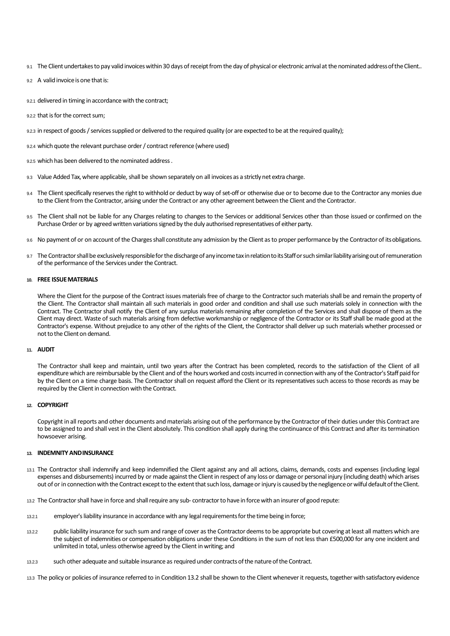- 9.1 The Client undertakes to pay valid invoices within 30 days of receipt from the day of physical or electronic arrival at the nominated addressoftheClient..
- 92 A valid invoice is one that is:
- 9.2.1 delivered in timing in accordance with the contract;
- 9.2.2 that is for the correct sum;
- 9.2.3 in respect of goods / services supplied or delivered to the required quality (or are expected to be at the required quality);
- 9.2.4 which quote the relevant purchase order / contract reference (where used)
- 9.2.5 which has been delivered to the nominated address .
- 9.3 Value Added Tax, where applicable, shall be shown separately on all invoices as a strictly net extra charge.
- 9.4 The Client specifically reserves the right to withhold or deduct by way of set-off or otherwise due or to become due to the Contractor any monies due to the Client from the Contractor, arising under the Contract or any other agreement between the Client and the Contractor.
- 9.5 The Client shall not be liable for any Charges relating to changes to the Services or additional Services other than those issued or confirmed on the Purchase Order or by agreed written variations signed by the duly authorised representatives of either party.
- 9.6 No payment of or on account of the Charges shall constitute any admission by the Client as to proper performance by the Contractor of its obligations.
- 9.7 The Contractor shall be exclusively responsible for the discharge of any income tax in relation to its Staff or such similar liability arising out of remuneration of the performance of the Services under the Contract.

## **10. FREE ISSUEMATERIALS**

Where the Client for the purpose of the Contract issues materials free of charge to the Contractor such materials shall be and remain the property of the Client. The Contractor shall maintain all such materials in good order and condition and shall use such materials solely in connection with the Contract. The Contractor shall notify the Client of any surplus materials remaining after completion of the Services and shall dispose of them as the Client may direct. Waste of such materials arising from defective workmanship or negligence of the Contractor or its Staff shall be made good at the Contractor's expense. Without prejudice to any other of the rights of the Client, the Contractor shall deliver up such materials whether processed or not to the Client on demand.

#### **11. AUDIT**

The Contractor shall keep and maintain, until two years after the Contract has been completed, records to the satisfaction of the Client of all expenditure which are reimbursable by the Client and of the hours worked and costs incurred in connection with any of the Contractor's Staff paid for by the Client on a time charge basis. The Contractor shall on request afford the Client or its representatives such access to those records as may be required by the Client in connection with the Contract.

## **12. COPYRIGHT**

Copyright in all reports and other documents and materials arising out of the performance by the Contractor of their duties under this Contract are to be assigned to and shall vest in the Client absolutely. This condition shall apply during the continuance of this Contract and after its termination howsoever arising.

#### **13. INDEMNITY ANDINSURANCE**

- 13.1 The Contractor shall indemnify and keep indemnified the Client against any and all actions, claims, demands, costs and expenses (including legal expenses and disbursements) incurred by or made against the Client in respect of any loss or damage or personal injury (including death) which arises out of or in connection with the Contract except to the extent that such loss, damage or injury is caused by the negligence or wilful default of the Client.
- 13.2 The Contractor shall have in force and shall require any sub-contractor to have in force with an insurer of good repute:
- 13.2.1 employer's liability insurance in accordance with any legal requirements for the time being in force;
- 13.2.2 public liability insurance for such sum and range of cover as the Contractor deems to be appropriate but covering at least all matters which are the subject of indemnities or compensation obligations under these Conditions in the sum of not less than £500,000 for any one incident and unlimited in total, unless otherwise agreed by the Client in writing; and
- 13.2.3 such other adequate and suitable insurance as required under contractsofthe natureofthe Contract.

13.3 The policy or policies of insurance referred to in Condition 13.2 shall be shown to the Client whenever it requests, together with satisfactory evidence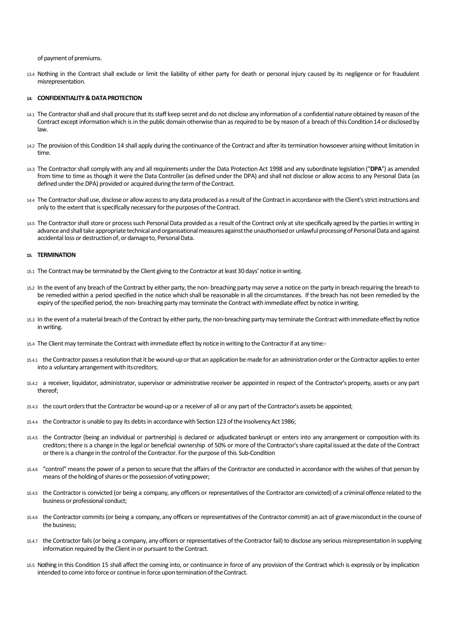of payment of premiums.

13.4 Nothing in the Contract shall exclude or limit the liability of either party for death or personal injury caused by its negligence or for fraudulent misrepresentation.

#### **14. CONFIDENTIALITY& DATAPROTECTION**

- 14.1 The Contractor shall and shall procure that its staff keep secret and do not disclose any information of a confidential nature obtained by reason of the Contract except information which is in the public domain otherwise than as required to be by reason of a breach of this Condition14 or disclosedby law.
- 14.2 The provision of this Condition 14 shall apply during the continuance of the Contract and after its termination howsoever arising without limitation in time.
- 14.3 The Contractorshall comply with any and all requirements under the Data Protection Act 1998 and any subordinate legislation ("**DPA**") as amended from time to time as though it were the Data Controller (as defined under the DPA) and shall not disclose or allow access to any Personal Data (as defined under the DPA) provided or acquired during the term of the Contract.
- 14.4 The Contractor shall use, disclose or allow access to any data produced as a result of the Contract in accordance with the Client's strict instructions and only to the extent that is specifically necessary for the purposes of the Contract.
- 14.5 The Contractor shall store or process such Personal Data provided as a result of the Contract only at site specifically agreed by the parties in writing in advance and shall take appropriate technical and organisational measures against the unauthorised or unlawful processing of Personal Data and against accidental loss or destruction of, or damage to, Personal Data.

#### **15. TERMINATION**

- 15.1 The Contract may be terminated by the Client giving to the Contractor atleast30 days' noticeinwriting.
- 15.2 In the event of any breach of the Contract by either party, the non- breaching party may serve a notice on the party in breach requiring the breach to be remedied within a period specified in the notice which shall be reasonable in all the circumstances. If the breach has not been remedied by the expiry of the specified period, the non- breaching party may terminate the Contract with immediate effect by notice inwriting.
- 15.3 In the event of a material breach of the Contract by either party, the non-breaching party may terminate the Contract with immediate effect by notice inwriting.
- 15.4 The Client may terminate the Contract with immediate effect by notice in writing to the Contractor if at any time:-
- 15.4.1 the Contractor passes a resolution that it be wound-up or that an application be made for an administration order or the Contractor applies to enter into a voluntary arrangement with itscreditors;
- 15.4.2 a receiver, liquidator, administrator, supervisor or administrative receiver be appointed in respect of the Contractor's property, assets or any part thereof;
- 15.4.3 the court orders that the Contractor be wound-up or a receiver of all or any part of the Contractor's assets be appointed;
- 15.4.4 the Contractor is unable to pay its debts in accordance with Section 123 of the Insolvency Act 1986;
- 15.4.5 the Contractor (being an individual or partnership) is declared or adjudicated bankrupt or enters into any arrangement or composition with its creditors;there is a change in the legal or beneficial ownership of 50% or more of the Contractor's share capital issued at the date of the Contract or there is a change in the control of the Contractor. For the purpose of this Sub-Condition
- 15.4.6 "control" means the power of a person to secure that the affairs of the Contractor are conducted in accordance with the wishes of that person by means of the holding of shares or the possession of voting power;
- 15.4.5 the Contractor is convicted (or being a company, any officers or representatives of the Contractor are convicted) of a criminaloffence related to the business or professional conduct;
- 15.4.6 the Contractor commits (or being a company, any officers or representatives of the Contractor commit) an act of grave misconduct in the course of the business;
- 15.4.7 the Contractor fails (or being a company, any officers or representatives of the Contractor fail) to disclose any serious misrepresentation in supplying information required by the Client in or pursuant to the Contract.
- 15.5 Nothing in this Condition 15 shall affect the coming into, or continuance in force of any provision of the Contract which is expressly or by implication intended to come into force or continue in force upon termination of the Contract.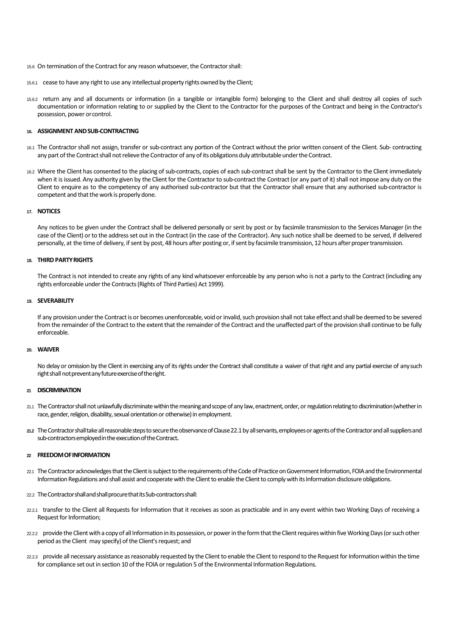15.6 On termination of the Contract for any reason whatsoever, the Contractorshall:

- 15.6.1 cease to have any right to use any intellectual property rights owned by the Client;
- 15.6.2 return any and all documents or information (in a tangible or intangible form) belonging to the Client and shall destroy all copies of such documentation or information relating to or supplied by the Client to the Contractor for the purposes of the Contract and being in the Contractor's possession, power orcontrol.

#### **16. ASSIGNMENT ANDSUB-CONTRACTING**

- 16.1 The Contractor shall not assign, transfer or sub-contract any portion of the Contract without the prior written consent of the Client. Sub- contracting any part of the Contract shall not relieve the Contractor of any of its obligations duly attributable under the Contract.
- 16.2 Where the Client has consented to the placing of sub-contracts, copies of each sub-contract shall be sent by the Contractor to the Client immediately when it is issued. Any authority given by the Client for the Contractor to sub-contract the Contract (or any part of it) shall not impose any duty on the Client to enquire as to the competency of any authorised sub-contractor but that the Contractor shall ensure that any authorised sub-contractor is competent and that the work is properly done.

# **17. NOTICES**

Any notices to be given under the Contract shall be delivered personally or sent by post or by facsimile transmission to the Services Manager (in the case of the Client) or to the address set out in the Contract (in the case of the Contractor). Any such notice shall be deemed to be served, if delivered personally, at the time of delivery, if sent by post, 48 hours after posting or, if sent by facsimile transmission, 12 hours after proper transmission.

## **18. THIRD PARTYRIGHTS**

The Contract is not intended to create any rights of any kind whatsoever enforceable by any person who is not a party to the Contract (including any rights enforceable under the Contracts (Rights of Third Parties) Act 1999).

# **19. SEVERABILITY**

If any provision under the Contract is or becomes unenforceable, void or invalid, such provision shall not take effect and shall be deemed to be severed from the remainder of the Contract to the extent that the remainder of the Contract and the unaffected part of the provision shall continue to be fully enforceable.

#### **20. WAIVER**

No delay or omission by the Client in exercising any of its rights under the Contract shall constitute a waiver of that right and any partial exercise of any such right shall not prevent any future exercise of the right.

#### **<sup>21</sup> DISCRIMINATION**

- 21.1 The Contractor shall not unlawfully discriminate within the meaning and scope of any law, enactment, order, or regulation relating to discrimination (whether in race, gender, religion, disability, sexual orientation or otherwise) in employment.
- **21.2** TheContractorshalltakeallreasonablestepstosecuretheobservanceof Clause22.1by allservants,employeesoragentsoftheContractorandall suppliersand sub-contractors employed in the execution of the Contract.

#### **<sup>22</sup> FREEDOMOFINFORMATION**

- 22.1 The Contractor acknowledges that the Client is subject to the requirements of the Code of Practice on Government Information, FOIA and the Environmental Information Regulations and shall assist and cooperate with the Client to enable the Client to comply with its Information disclosure obligations.
- 22.2 The Contractor shall and shall procure that its Sub-contractors shall:
- 22.2.1 transfer to the Client all Requests for Information that it receives as soon as practicable and in any event within two Working Days of receiving a Request for Information;
- 22.22 provide the Client with a copy of all Information in its possession, or power in the form that the Client requires within five Working Days (or such other period as the Client may specify) of the Client's request; and
- 222.3 provide all necessary assistance as reasonably requested by the Client to enable the Client to respond to the Request for Information within the time for compliance set out in section 10 of the FOIA or regulation 5 of the Environmental Information Regulations.